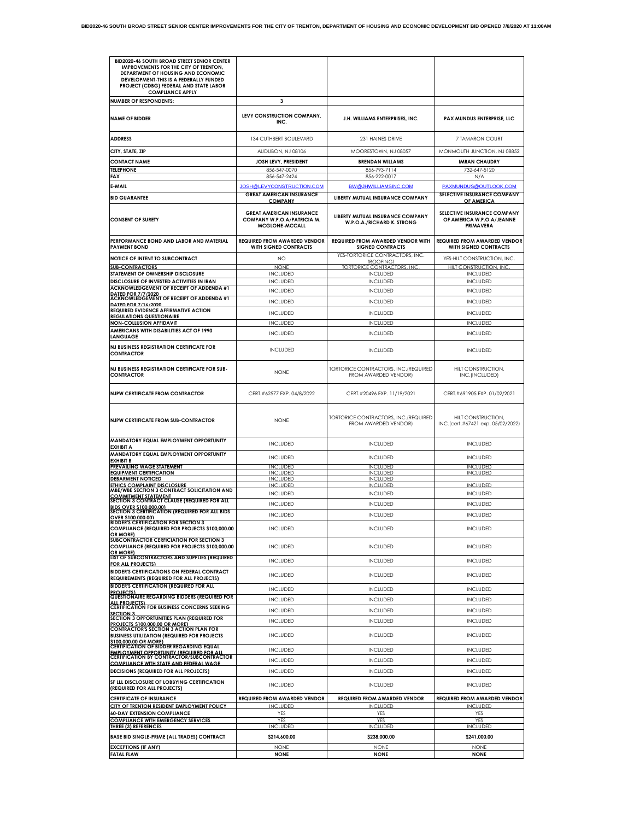| <b>BID2020-46 SOUTH BROAD STREET SENIOR CENTER</b><br>IMPROVEMENTS FOR THE CITY OF TRENTON,<br>DEPARTMENT OF HOUSING AND ECONOMIC<br>DEVELOPMENT-THIS IS A FEDERALLY FUNDED<br>PROJECT (CDBG) FEDERAL AND STATE LABOR |                                                                                         |                                                                      |                                                                       |
|-----------------------------------------------------------------------------------------------------------------------------------------------------------------------------------------------------------------------|-----------------------------------------------------------------------------------------|----------------------------------------------------------------------|-----------------------------------------------------------------------|
| <b>COMPLIANCE APPLY</b>                                                                                                                                                                                               | 3                                                                                       |                                                                      |                                                                       |
| <b>NUMBER OF RESPONDENTS:</b>                                                                                                                                                                                         |                                                                                         |                                                                      |                                                                       |
| <b>NAME OF BIDDER</b>                                                                                                                                                                                                 | LEVY CONSTRUCTION COMPANY,<br>INC.                                                      | J.H. WILLIAMS ENTERPRISES. INC.                                      | PAX MUNDUS ENTERPRISE, LLC                                            |
| <b>ADDRESS</b>                                                                                                                                                                                                        | 134 CUTHBERT BOULEVARD                                                                  | 231 HAINES DRIVE                                                     | 7 TAMARON COURT                                                       |
| CITY, STATE, ZIP                                                                                                                                                                                                      | AUDUBON, NJ 08106                                                                       | MOORESTOWN, NJ 08057                                                 | MONMOUTH JUNCTION, NJ 08852                                           |
| <b>CONTACT NAME</b>                                                                                                                                                                                                   | JOSH LEVY, PRESIDENT                                                                    | <b>BRENDAN WILLAMS</b>                                               | <b>IMRAN CHAUDRY</b>                                                  |
| <b>TELEPHONE</b><br>FAX                                                                                                                                                                                               | 856-547-0070<br>856-547-2424                                                            | 856-793-7114<br>856-222-0017                                         | 732-647-5120<br>N/A                                                   |
| E-MAIL                                                                                                                                                                                                                | JOSH@LEVYCONSTRUCTION.COM                                                               | <b>BW@JHWILLIAMSINC.COM</b>                                          | PAXMUNDUS@OUTLOOK.COM                                                 |
| <b>BID GUARANTEE</b>                                                                                                                                                                                                  | <b>GREAT AMERICAN INSURANCE</b><br><b>COMPANY</b>                                       | LIBERTY MUTUAL INSURANCE COMPANY                                     | SELECTIVE INSURANCE COMPANY<br>OF AMERICA                             |
| <b>CONSENT OF SURETY</b>                                                                                                                                                                                              | <b>GREAT AMERICAN INSURANCE</b><br>COMPANY W.P.O.A/PATRICIA M.<br><b>MCGLONE-MCCALL</b> | LIBERTY MUTUAL INSURANCE COMPANY<br>W.P.O.A./RICHARD K. STRONG       | SELECTIVE INSURANCE COMPANY<br>OF AMERICA W.P.O.A/JEANNE<br>PRIMAVERA |
| PERFORMANCE BOND AND LABOR AND MATERIAL<br><b>PAYMENT BOND</b>                                                                                                                                                        | <b>REQUIRED FROM AWARDED VENDOR</b><br>WITH SIGNED CONTRACTS                            | <b>REQUIRED FROM AWARDED VENDOR WITH</b><br><b>SIGNED CONTRACTS</b>  | <b>REQUIRED FROM AWARDED VENDOR</b><br>WITH SIGNED CONTRACTS          |
| NOTICE OF INTENT TO SUBCONTRACT                                                                                                                                                                                       | NO.                                                                                     | YES-TORTORICE CONTRACTORS, INC.                                      | YES-HILT CONSTRUCTION, INC.                                           |
| <b>SUB-CONTRACTORS</b>                                                                                                                                                                                                | <b>NONE</b>                                                                             | (ROOFING)<br><b>TORTORICE CONTRACTORS, INC</b>                       | HILT CONSTRUCTION, INC                                                |
| STATEMENT OF OWNERSHIP DISCLOSURE                                                                                                                                                                                     | <b>INCLUDED</b>                                                                         | <b>INCLUDED</b>                                                      | <b>INCLUDED</b>                                                       |
| DISCLOSURE OF INVESTED ACTIVITIES IN IRAN<br><b>ACKNOWLEDGEMENT OF RECEIPT OF ADDENDA #1</b>                                                                                                                          | <b>INCLUDED</b>                                                                         | <b>INCLUDED</b>                                                      | <b>INCLUDED</b>                                                       |
| DATED FOR 7/7/2020                                                                                                                                                                                                    | <b>INCLUDED</b>                                                                         | <b>INCLUDED</b>                                                      | <b>INCLUDED</b>                                                       |
| ACKNOWLEDGEMENT OF RECEIPT OF ADDENDA #1<br>DATED FOR 7/16/2020                                                                                                                                                       | <b>INCLUDED</b>                                                                         | <b>INCLUDED</b>                                                      | <b>INCLUDED</b>                                                       |
| REQUIRED EVIDENCE AFFIRMATIVE ACTION                                                                                                                                                                                  | <b>INCLUDED</b>                                                                         | <b>INCLUDED</b>                                                      | <b>INCLUDED</b>                                                       |
| <b>REGULATIONS QUESTIONAIRE</b><br><b>NON-COLLUSION AFFIDAVIT</b>                                                                                                                                                     | <b>INCLUDED</b>                                                                         | <b>INCLUDED</b>                                                      | <b>INCLUDED</b>                                                       |
| AMERICANS WITH DISABILITIES ACT OF 1990<br><b>LANGUAGE</b>                                                                                                                                                            | <b>INCLUDED</b>                                                                         | <b>INCLUDED</b>                                                      | <b>INCLUDED</b>                                                       |
| <b>NJ BUSINESS REGISTRATION CERTIFICATE FOR</b><br><b>CONTRACTOR</b>                                                                                                                                                  | <b>INCLUDED</b>                                                                         | <b>INCLUDED</b>                                                      | <b>INCLUDED</b>                                                       |
| NJ BUSINESS REGISTRATION CERTIFICATE FOR SUB-<br><b>CONTRACTOR</b>                                                                                                                                                    | <b>NONE</b>                                                                             | <b>TORTORICE CONTRACTORS, INC. (REQUIRED</b><br>FROM AWARDED VENDOR) | HILT CONSTRUCTION,<br>INC.(INCLUDED)                                  |
| <b>NJPW CERTIFICATE FROM CONTRACTOR</b>                                                                                                                                                                               | CERT.#62577 EXP. 04/8/2022                                                              | CERT.#20496 EXP. 11/19/2021                                          | CERT.#691905 EXP. 01/02/2021                                          |
| <b>NJPW CERTIFICATE FROM SUB-CONTRACTOR</b>                                                                                                                                                                           | <b>NONE</b>                                                                             | TORTORICE CONTRACTORS, INC. (REQUIRED<br>FROM AWARDED VENDOR)        | HILT CONSTRUCTION,<br>INC.(cert.#67421 exp. 05/02/2022)               |
| MANDATORY EQUAL EMPLOYMENT OPPORTUNITY<br><b>EXHIBIT A</b>                                                                                                                                                            | <b>INCLUDED</b>                                                                         | <b>INCLUDED</b>                                                      | <b>INCLUDED</b>                                                       |
| MANDATORY EQUAL EMPLOYMENT OPPORTUNITY<br><b>EXHIBIT B</b>                                                                                                                                                            | <b>INCLUDED</b>                                                                         | <b>INCLUDED</b>                                                      | <b>INCLUDED</b>                                                       |
| <b>PREVAILING WAGE STATEMENT</b><br><b>EQUIPMENT CERTIFICATION</b>                                                                                                                                                    | <b>INCLUDED</b><br><b>INCLUDED</b>                                                      | <b>INCLUDED</b><br><b>INCLUDED</b>                                   | <b>INCLUDED</b><br><b>INCLUDED</b>                                    |
| <b>DEBARMENT NOTICED</b>                                                                                                                                                                                              | <b>INCLUDED</b>                                                                         | <b>INCLUDED</b>                                                      |                                                                       |
| <b>ETHICS COMPLAINT DISCLOSURE</b><br>MBE/WBE SECTION 3 CONTRACT SOLICITATION AND                                                                                                                                     | <b>INCLUDED</b>                                                                         | <b>INCLUDED</b>                                                      | <b>INCLUDED</b>                                                       |
| <b>COMMITMENT STATEMENT<br/>SECTION 3 CONTRACT CLAUSE (REQUIRED FOR ALL</b>                                                                                                                                           | <b>INCLUDED</b>                                                                         | <b>INCLUDED</b>                                                      | <b>INCLUDED</b>                                                       |
| BIDS OVER \$100,000.00)<br>SECTION 3 CERTIFICATION (REQUIRED FOR ALL BIDS                                                                                                                                             | <b>INCLUDED</b>                                                                         | <b>INCLUDED</b>                                                      | <b>INCLUDED</b>                                                       |
| OVER \$100,000,001                                                                                                                                                                                                    | <b>INCLUDED</b>                                                                         | <b>INCLUDED</b>                                                      | <b>INCLUDED</b>                                                       |
| <b>BIDDER'S CERTIFICATION FOR SECTION 3</b><br>COMPLIANCE (REQUIRED FOR PROJECTS \$100,000.00<br>OR MORE)                                                                                                             | <b>INCLUDED</b>                                                                         | <b>INCLUDED</b>                                                      | <b>INCLUDED</b>                                                       |
| SUBCONTRACTOR CERFICIATION FOR SECTION 3<br><b>COMPLIANCE (REQUIRED FOR PROJECTS \$100,000.00</b><br>OR MORE)                                                                                                         | <b>INCLUDED</b>                                                                         | <b>INCLUDED</b>                                                      | <b>INCLUDED</b>                                                       |
| LIST OF SUBCONTRACTORS AND SUPPLIES (REQUIRED<br>FOR ALL PROJECTS)                                                                                                                                                    | <b>INCLUDED</b>                                                                         | <b>INCLUDED</b>                                                      | <b>INCLUDED</b>                                                       |
| <b>BIDDER'S CERTIFICATIONS ON FEDERAL CONTRACT</b><br>REQUIREMENTS (REQUIRED FOR ALL PROJECTS)                                                                                                                        | <b>INCLUDED</b>                                                                         | <b>INCLUDED</b>                                                      | <b>INCLUDED</b>                                                       |
| <b>BIDDER'S CERTIFICATION (REQUIRED FOR ALL</b><br>PROJECTS)                                                                                                                                                          | <b>INCLUDED</b>                                                                         | <b>INCLUDED</b>                                                      | <b>INCLUDED</b>                                                       |
| QUESTIONAIRE REGARDING BIDDERS (REQUIRED FOR<br><b>ALL PROJECTS)</b>                                                                                                                                                  | <b>INCLUDED</b>                                                                         | <b>INCLUDED</b>                                                      | <b>INCLUDED</b>                                                       |
| <b>CERTIFICATION FOR BUSINESS CONCERNS SEEKING</b>                                                                                                                                                                    | <b>INCLUDED</b>                                                                         | <b>INCLUDED</b>                                                      | <b>INCLUDED</b>                                                       |
| SECTION 3<br>SECTION 3 OPPORTUNITIES PLAN (REQUIRED FOR                                                                                                                                                               | <b>INCLUDED</b>                                                                         | <b>INCLUDED</b>                                                      | <b>INCLUDED</b>                                                       |
| PROJECTS \$100,000.00 OR MORE)<br><b>CONTRACTOR'S SECTION 3 ACTION PLAN FOR</b><br><b>BUSINESS UTILIZATION (REQUIRED FOR PROJECTS</b>                                                                                 | <b>INCLUDED</b>                                                                         | <b>INCLUDED</b>                                                      | <b>INCLUDED</b>                                                       |
| \$100,000.00 OR MORE)<br><b>CERTIFICATION OF BIDDER REGARDING EQUAL</b>                                                                                                                                               | <b>INCLUDED</b>                                                                         | <b>INCLUDED</b>                                                      | <b>INCLUDED</b>                                                       |
| <b>EMPLOYMENT OPPORTUNITY (REQUIRED FOR ALL</b><br><b>CERTIFICATION BY CONTRACTOR/SUBCONTRACTOR</b>                                                                                                                   |                                                                                         |                                                                      |                                                                       |
| <b>COMPLIANCE WITH STATE AND FEDERAL WAGE</b>                                                                                                                                                                         | <b>INCLUDED</b>                                                                         | <b>INCLUDED</b>                                                      | <b>INCLUDED</b>                                                       |
| DECISIONS (REQUIRED FOR ALL PROJECTS)                                                                                                                                                                                 | <b>INCLUDED</b>                                                                         | <b>INCLUDED</b>                                                      | <b>INCLUDED</b>                                                       |
| SF LLL DISCLOSURE OF LOBBYING CERTIFICATION<br>(REQUIRED FOR ALL PROJECTS)                                                                                                                                            | <b>INCLUDED</b>                                                                         | <b>INCLUDED</b>                                                      | <b>INCLUDED</b>                                                       |
| <b>CERTIFICATE OF INSURANCE</b>                                                                                                                                                                                       | <b>REQUIRED FROM AWARDED VENDOR</b>                                                     | <b>REQUIRED FROM AWARDED VENDOR</b>                                  | <b>REQUIRED FROM AWARDED VENDOR</b>                                   |
| <b>CITY OF TRENTON RESIDENT EMPLOYMENT POLICY</b><br><b>60-DAY EXTENSION COMPLIANCE</b>                                                                                                                               | <b>INCLUDED</b><br>YES                                                                  | <b>INCLUDED</b><br>YES                                               | <b>INCLUDED</b><br><b>YES</b>                                         |
| <b>COMPLIANCE WITH EMERGENCY SERVICES</b>                                                                                                                                                                             | YES                                                                                     | YES                                                                  | YES                                                                   |
| <b>THREE (3) REFERENCES</b>                                                                                                                                                                                           | <b>INCLUDED</b>                                                                         | <b>INCLUDED</b>                                                      | <b>INCLUDED</b>                                                       |
| <b>BASE BID SINGLE-PRIME (ALL TRADES) CONTRACT</b>                                                                                                                                                                    | \$214,600.00                                                                            | \$238,000.00                                                         | \$241,000.00                                                          |
| <b>EXCEPTIONS (IF ANY)</b><br><b>FATAL FLAW</b>                                                                                                                                                                       | <b>NONE</b><br><b>NONE</b>                                                              | <b>NONE</b><br><b>NONE</b>                                           | <b>NONE</b><br><b>NONE</b>                                            |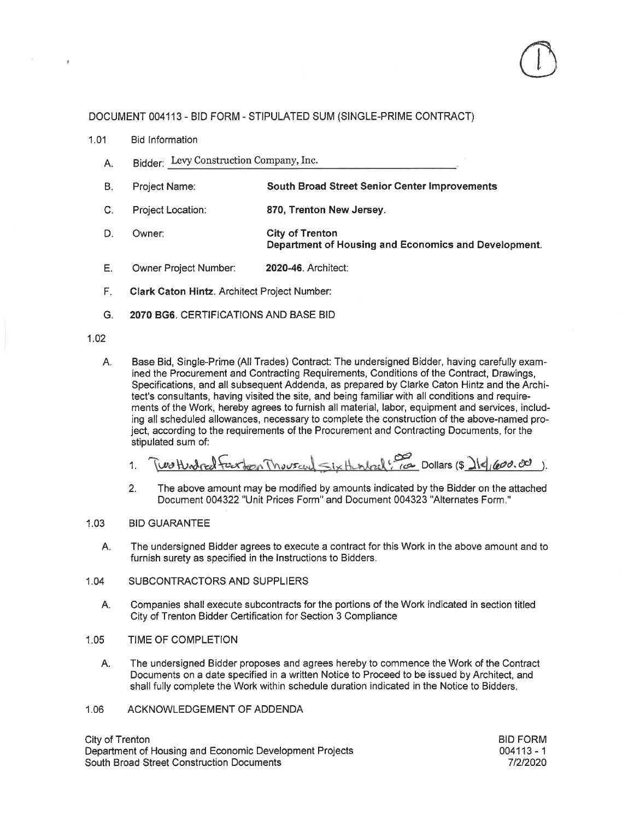## DOCUMENT 004113 - BID FORM - STIPULATED SUM (SINGLE-PRIME CONTRACT)

- $1.01$ **Bid Information** 
	- Bidder: Levy Construction Company, Inc. A.
	- $B.$ Proiect Name: **South Broad Street Senior Center Improvements**
	- C. Project Location: 870, Trenton New Jersey.
	- D. Owner: **City of Trenton** Department of Housing and Economics and Development.
	- E. Owner Project Number: 2020-46. Architect:
	- F. Clark Caton Hintz. Architect Project Number:
	- G. 2070 BG6, CERTIFICATIONS AND BASE BID

### $1.02$

Base Bid, Single-Prime (All Trades) Contract: The undersigned Bidder, having carefully exam-A. ined the Procurement and Contracting Requirements, Conditions of the Contract, Drawings, Specifications, and all subsequent Addenda, as prepared by Clarke Caton Hintz and the Architect's consultants, having visited the site, and being familiar with all conditions and requirements of the Work, hereby agrees to furnish all material, labor, equipment and services, including all scheduled allowances, necessary to complete the construction of the above-named project, according to the requirements of the Procurement and Contracting Documents, for the stipulated sum of:

 $\sim$  *ix Henlach*  $\frac{1}{100}$  *Dollars (\$*  $\frac{1}{4}$  $(600.00)$ *).* 00 Hendred Fraction Theuseul 1

The above amount may be modified by amounts indicated by the Bidder on the attached  $2.$ Document 004322 "Unit Prices Form" and Document 004323 "Alternates Form."

#### $1.03$ **BID GUARANTEE**

- А. The undersigned Bidder agrees to execute a contract for this Work in the above amount and to furnish surety as specified in the Instructions to Bidders.
- SUBCONTRACTORS AND SUPPLIERS  $1.04$ 
	- Companies shall execute subcontracts for the portions of the Work indicated in section titled А. City of Trenton Bidder Certification for Section 3 Compliance
- $1.05$ TIME OF COMPLETION
	- Α. The undersigned Bidder proposes and agrees hereby to commence the Work of the Contract Documents on a date specified in a written Notice to Proceed to be issued by Architect, and shall fully complete the Work within schedule duration indicated in the Notice to Bidders.
- ACKNOWLEDGEMENT OF ADDENDA 1.06

City of Trenton Department of Housing and Economic Development Projects South Broad Street Construction Documents

**BID FORM**  $004113 - 1$ 7/2/2020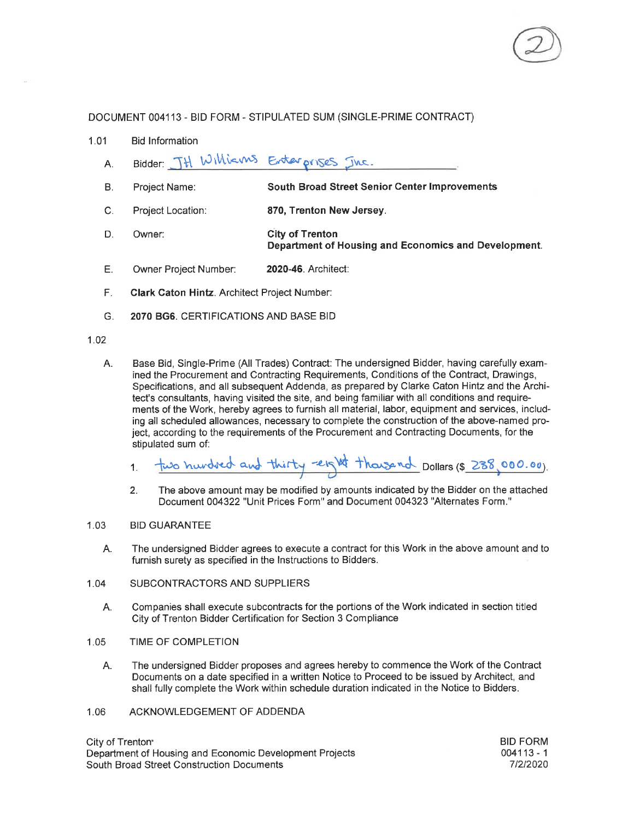

### DOCUMENT 004113 - BID FORM - STIPULATED SUM (SINGLE-PRIME CONTRACT)

- $1.01$ **Bid Information** 
	- Bidder: TH Williams Enterprises Inc.  $A<sub>1</sub>$
	- B. Project Name: **South Broad Street Senior Center Improvements**
	- 870, Trenton New Jersey.  $\mathbf{C}$ . Project Location:
	- D. **City of Trenton** Owner: Department of Housing and Economics and Development.
	- Ε. Owner Project Number: 2020-46. Architect:
	- F. **Clark Caton Hintz. Architect Project Number:**
	- 2070 BG6. CERTIFICATIONS AND BASE BID G.

### $102$

Base Bid, Single-Prime (All Trades) Contract: The undersigned Bidder, having carefully exam-A. ined the Procurement and Contracting Requirements, Conditions of the Contract, Drawings, Specifications, and all subsequent Addenda, as prepared by Clarke Caton Hintz and the Architect's consultants, having visited the site, and being familiar with all conditions and requirements of the Work, hereby agrees to furnish all material, labor, equipment and services, including all scheduled allowances, necessary to complete the construction of the above-named project. according to the requirements of the Procurement and Contracting Documents, for the stipulated sum of:

two hundred and thirty reight thousand Dollars (\$ 238,000.00).  $1<sub>1</sub>$ 

The above amount may be modified by amounts indicated by the Bidder on the attached  $2<sub>1</sub>$ Document 004322 "Unit Prices Form" and Document 004323 "Alternates Form."

#### $1.03$ **BID GUARANTEE**

- The undersigned Bidder agrees to execute a contract for this Work in the above amount and to А. furnish surety as specified in the Instructions to Bidders.
- SUBCONTRACTORS AND SUPPLIERS 1.04
	- Companies shall execute subcontracts for the portions of the Work indicated in section titled A. City of Trenton Bidder Certification for Section 3 Compliance
- $1.05$ TIME OF COMPLETION
	- The undersigned Bidder proposes and agrees hereby to commence the Work of the Contract А. Documents on a date specified in a written Notice to Proceed to be issued by Architect. and shall fully complete the Work within schedule duration indicated in the Notice to Bidders.
- ACKNOWLEDGEMENT OF ADDENDA 1.06

City of Trenton<sup>®</sup> Department of Housing and Economic Development Projects South Broad Street Construction Documents

**BID FORM**  $004113 - 1$ 7/2/2020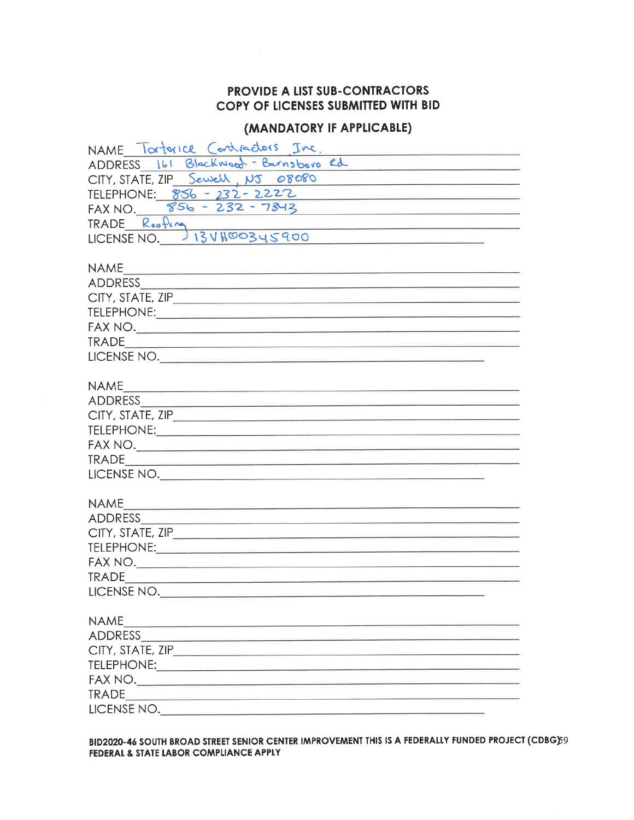## PROVIDE A LIST SUB-CONTRACTORS COPY OF LICENSES SUBMITTED WITH BID

# (MANDATORY IF APPLICABLE)

| NAME Tortorice Contractors Inc.<br>ADDRESS 161 Blackwood - Barnsboro Rd<br>CITY, STATE, ZIP Sewell, NJ 08080<br><u> 1989 - Johann Barbara, martxa al III-lea (h. 1989).</u><br>TELEPHONE: 856 - 232 - 2222<br>FAX NO. 856 - 232 - 7843<br>TRADE Roofling<br>INCENIE NO 13VHOO345900<br>the contract of the contract of the contract of the contract of the contract of<br>NAME<br><u> 20. – 20. maj - Alemania Alemania (h. 1888).</u><br><b>NAME</b><br><b>NAME</b><br><b>TRADE</b><br><u> 1989 - Johann John Stone, market fan it fjort fan de fan it fjort fan it fjort fan de fan it fjort fan it fjo</u> |
|---------------------------------------------------------------------------------------------------------------------------------------------------------------------------------------------------------------------------------------------------------------------------------------------------------------------------------------------------------------------------------------------------------------------------------------------------------------------------------------------------------------------------------------------------------------------------------------------------------------|
|                                                                                                                                                                                                                                                                                                                                                                                                                                                                                                                                                                                                               |
|                                                                                                                                                                                                                                                                                                                                                                                                                                                                                                                                                                                                               |
|                                                                                                                                                                                                                                                                                                                                                                                                                                                                                                                                                                                                               |
|                                                                                                                                                                                                                                                                                                                                                                                                                                                                                                                                                                                                               |
|                                                                                                                                                                                                                                                                                                                                                                                                                                                                                                                                                                                                               |
|                                                                                                                                                                                                                                                                                                                                                                                                                                                                                                                                                                                                               |
|                                                                                                                                                                                                                                                                                                                                                                                                                                                                                                                                                                                                               |
|                                                                                                                                                                                                                                                                                                                                                                                                                                                                                                                                                                                                               |
|                                                                                                                                                                                                                                                                                                                                                                                                                                                                                                                                                                                                               |
|                                                                                                                                                                                                                                                                                                                                                                                                                                                                                                                                                                                                               |
|                                                                                                                                                                                                                                                                                                                                                                                                                                                                                                                                                                                                               |
|                                                                                                                                                                                                                                                                                                                                                                                                                                                                                                                                                                                                               |
|                                                                                                                                                                                                                                                                                                                                                                                                                                                                                                                                                                                                               |
|                                                                                                                                                                                                                                                                                                                                                                                                                                                                                                                                                                                                               |
|                                                                                                                                                                                                                                                                                                                                                                                                                                                                                                                                                                                                               |
|                                                                                                                                                                                                                                                                                                                                                                                                                                                                                                                                                                                                               |
|                                                                                                                                                                                                                                                                                                                                                                                                                                                                                                                                                                                                               |
|                                                                                                                                                                                                                                                                                                                                                                                                                                                                                                                                                                                                               |
|                                                                                                                                                                                                                                                                                                                                                                                                                                                                                                                                                                                                               |
|                                                                                                                                                                                                                                                                                                                                                                                                                                                                                                                                                                                                               |
|                                                                                                                                                                                                                                                                                                                                                                                                                                                                                                                                                                                                               |
|                                                                                                                                                                                                                                                                                                                                                                                                                                                                                                                                                                                                               |
|                                                                                                                                                                                                                                                                                                                                                                                                                                                                                                                                                                                                               |
|                                                                                                                                                                                                                                                                                                                                                                                                                                                                                                                                                                                                               |
|                                                                                                                                                                                                                                                                                                                                                                                                                                                                                                                                                                                                               |
|                                                                                                                                                                                                                                                                                                                                                                                                                                                                                                                                                                                                               |
|                                                                                                                                                                                                                                                                                                                                                                                                                                                                                                                                                                                                               |
|                                                                                                                                                                                                                                                                                                                                                                                                                                                                                                                                                                                                               |
| LICENSE NO.                                                                                                                                                                                                                                                                                                                                                                                                                                                                                                                                                                                                   |
|                                                                                                                                                                                                                                                                                                                                                                                                                                                                                                                                                                                                               |
|                                                                                                                                                                                                                                                                                                                                                                                                                                                                                                                                                                                                               |
|                                                                                                                                                                                                                                                                                                                                                                                                                                                                                                                                                                                                               |
|                                                                                                                                                                                                                                                                                                                                                                                                                                                                                                                                                                                                               |
|                                                                                                                                                                                                                                                                                                                                                                                                                                                                                                                                                                                                               |
|                                                                                                                                                                                                                                                                                                                                                                                                                                                                                                                                                                                                               |
|                                                                                                                                                                                                                                                                                                                                                                                                                                                                                                                                                                                                               |
| LICENSE NO.                                                                                                                                                                                                                                                                                                                                                                                                                                                                                                                                                                                                   |

BID2020-46 SOUTH BROAD STREET SENIOR CENTER IMPROVEMENT THIS IS A FEDERALLY FUNDED PROJECT (CDBG)59 FEDERAL & STATE LABOR COMPLIANCE APPLY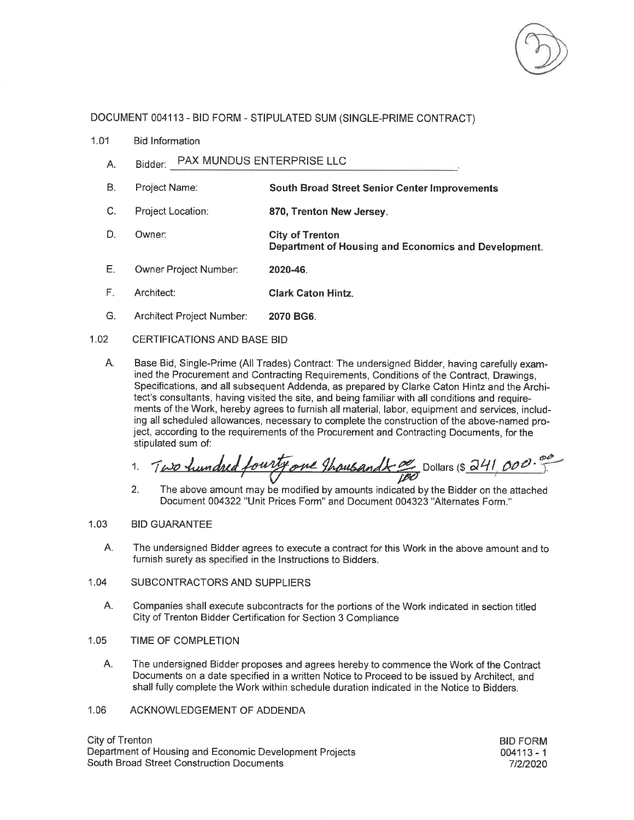

## DOCUMENT 004113 - BID FORM - STIPULATED SUM (SINGLE-PRIME CONTRACT)

- $1.01$ **Bid Information** 
	- Bidder: PAX MUNDUS ENTERPRISE LLC А.
	- **B.** Project Name: **South Broad Street Senior Center Improvements**
	- C. Project Location: 870, Trenton New Jersey.
	- D. Owner: **City of Trenton** Department of Housing and Economics and Development.
	- Ε. Owner Project Number: 2020-46.
	- F. Architect: **Clark Caton Hintz.**
	- G. Architect Project Number: 2070 BG6.

#### $1.02$ CERTIFICATIONS AND BASE BID

А. Base Bid, Single-Prime (All Trades) Contract: The undersigned Bidder, having carefully examined the Procurement and Contracting Requirements, Conditions of the Contract, Drawings, Specifications, and all subsequent Addenda, as prepared by Clarke Caton Hintz and the Architect's consultants, having visited the site, and being familiar with all conditions and requirements of the Work, hereby agrees to furnish all material, labor, equipment and services, including all scheduled allowances, necessary to complete the construction of the above-named project, according to the requirements of the Procurement and Contracting Documents, for the stipulated sum of:

Two hundred fourty one thousandt a Dollars (\$ 241, 000. 1.

 $2.$ The above amount may be modified by amounts indicated by the Bidder on the attached Document 004322 "Unit Prices Form" and Document 004323 "Alternates Form."

### 1.03 **BID GUARANTEE**

- А. The undersigned Bidder agrees to execute a contract for this Work in the above amount and to furnish surety as specified in the Instructions to Bidders.
- 1.04 SUBCONTRACTORS AND SUPPLIERS
	- Α. Companies shall execute subcontracts for the portions of the Work indicated in section titled City of Trenton Bidder Certification for Section 3 Compliance
- $1.05$ TIME OF COMPLETION
	- А. The undersigned Bidder proposes and agrees hereby to commence the Work of the Contract Documents on a date specified in a written Notice to Proceed to be issued by Architect, and shall fully complete the Work within schedule duration indicated in the Notice to Bidders.
- 1.06 ACKNOWLEDGEMENT OF ADDENDA

City of Trenton Department of Housing and Economic Development Projects South Broad Street Construction Documents

**BID FORM**  $004113 - 1$ 7/2/2020